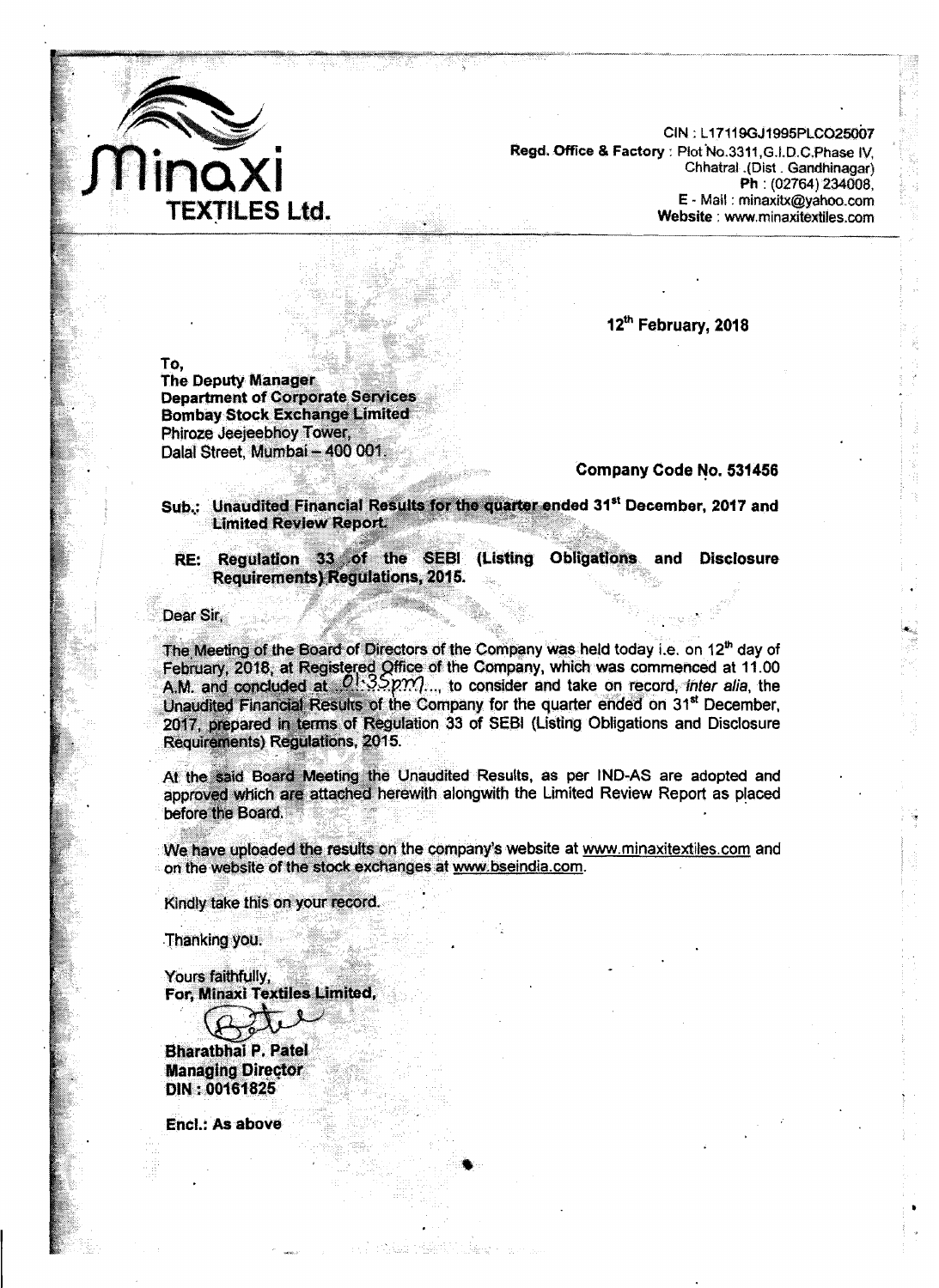

 $CIN : L17119GJ1995PLCO25007$ **Rsgcl. Office** & **Factory** : **~fot Sl(o.3311 ,G.l.D.C.Phase IV, Chhatral .tDist** . **Gandhinagaf) Ph** : **(02764) 23008, E** - Mail : **minaxitx@yahba.com Website : www.minaxitextiles.com** 

.-.. -" .,.... .- . **rn.,,-** "..>" .

**12~~ February, 2018** 

To.

**The Deputy Manager Department of Corporate Services Bombay Stock Exchange Limited** Phiroze Jeejeebhoy Tower, Dalal Street, Mumbai - 400 001.

**Company Code No. 531456** 

Sub.: Unaudited Financial Results for the quarter ended 31<sup>st</sup> December, 2017 and **Limited Review Report:** 

RE: Regulation 33 of the SEBI (Listing Obligations **and Disctosure Requirements) Regulations, 2015.** 

Dear Sir.

The Meeting of the Board of Directors of the Company was held today i.e. on 12<sup>th</sup> day of February, 2018, at Registered Office of the Company, which was commenced at 11.00<br>A.M. and concluded at  $[0.35pm2.00]$ ..., to consider and take on record, *ther alia*, the Unaudited Financial Results of the Company for the quarter ended on 31<sup>st</sup> December, 2017, prepared in terms of Regulation 33 of SEBI (Listing Obligations and Disclosure Requirements) Regulations, 2015.

At the said Board Meeting the Unaudited Results, as per IND-AS are adopted and approved which are attached herewith alongwith the Limited Review Report as placed before the Board.

We have uploaded the results on the company's website at www.minaxitextiles.com and on the website of the stock exchanges at www.bseindia.com.

Kindly take this on your record.

Thanking you.

Yours faithfully. For, Minaxi Textiles Limited,

**Bharatbhai P. Patel Managing Director** DIN: 00161825

Encl.: As above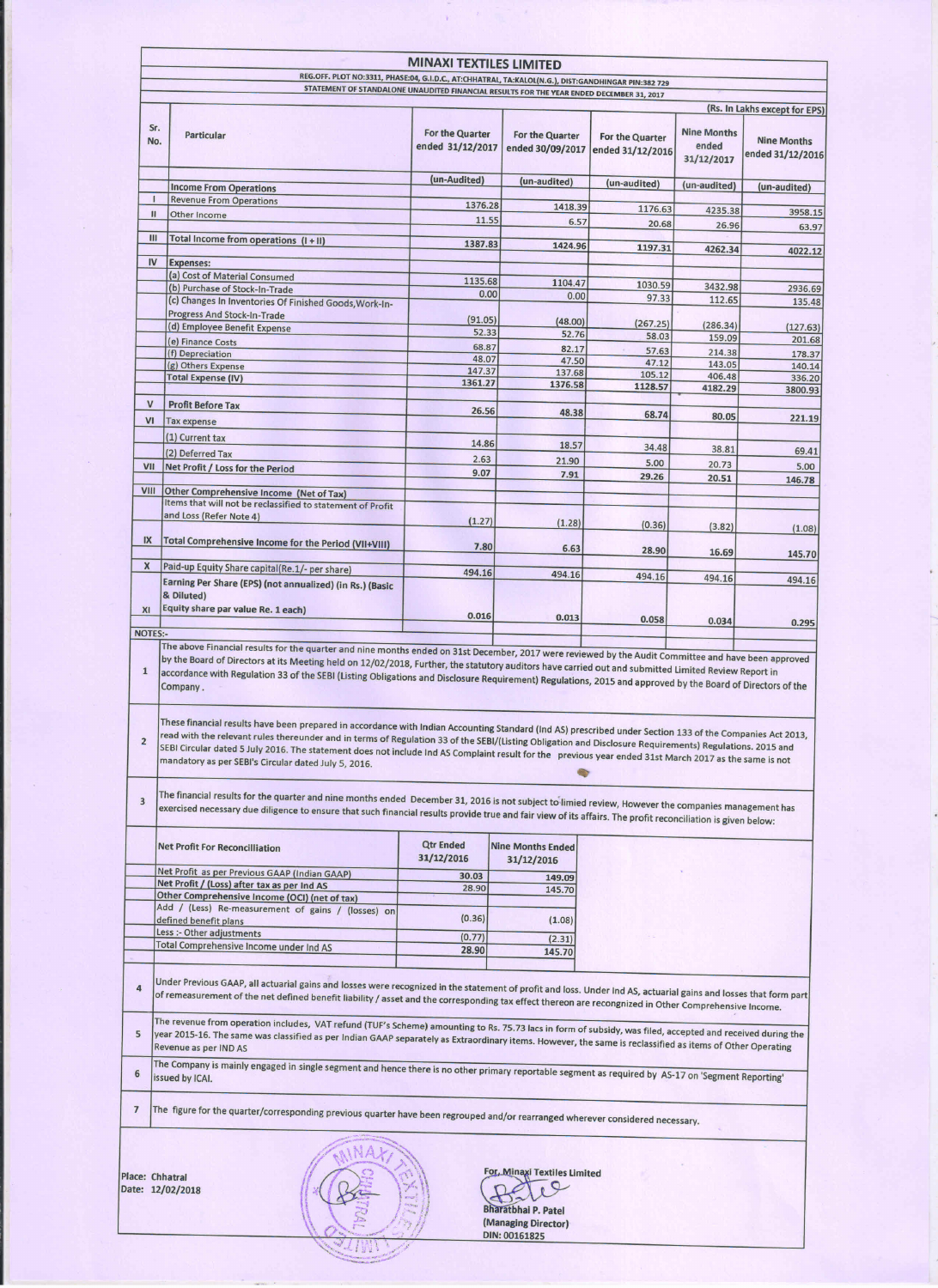|                                                |                                                                                                                                                                                                                                                                                                                                                                                                                                                                                                           | <b>MINAXI TEXTILES LIMITED</b>      |                                        |                                     |                                           |                                        |
|------------------------------------------------|-----------------------------------------------------------------------------------------------------------------------------------------------------------------------------------------------------------------------------------------------------------------------------------------------------------------------------------------------------------------------------------------------------------------------------------------------------------------------------------------------------------|-------------------------------------|----------------------------------------|-------------------------------------|-------------------------------------------|----------------------------------------|
|                                                | REG.OFF. PLOT NO:3311, PHASE:04, G.I.D.C., AT:CHHATRAL, TA:KALOL(N.G.), DIST:GANDHINGAR PIN:382 729<br>STATEMENT OF STANDALONE UNAUDITED FINANCIAL RESULTS FOR THE YEAR ENDED DECEMBER 31, 2017                                                                                                                                                                                                                                                                                                           |                                     |                                        |                                     |                                           |                                        |
|                                                |                                                                                                                                                                                                                                                                                                                                                                                                                                                                                                           |                                     |                                        |                                     |                                           | (Rs. In Lakhs except for EPS)          |
| Sr.<br>No.                                     | <b>Particular</b>                                                                                                                                                                                                                                                                                                                                                                                                                                                                                         | For the Quarter<br>ended 31/12/2017 | For the Quarter<br>ended 30/09/2017    | For the Quarter<br>ended 31/12/2016 | <b>Nine Months</b><br>ended<br>31/12/2017 | <b>Nine Months</b><br>ended 31/12/2016 |
|                                                | <b>Income From Operations</b>                                                                                                                                                                                                                                                                                                                                                                                                                                                                             | (un-Audited)                        | (un-audited)                           | (un-audited)                        | (un-audited)                              | (un-audited)                           |
| $\mathbf{I}$                                   | <b>Revenue From Operations</b>                                                                                                                                                                                                                                                                                                                                                                                                                                                                            | 1376.28                             |                                        |                                     |                                           |                                        |
| $\mathbf{II}$                                  | Other Income                                                                                                                                                                                                                                                                                                                                                                                                                                                                                              | 11.55                               | 1418.39<br>6.57                        | 1176.63                             | 4235.38                                   | 3958.15                                |
| Ш                                              |                                                                                                                                                                                                                                                                                                                                                                                                                                                                                                           |                                     |                                        | 20.68                               | 26.96                                     | 63.97                                  |
|                                                | Total Income from operations (I+II)                                                                                                                                                                                                                                                                                                                                                                                                                                                                       | 1387.83                             | 1424.96                                | 1197.31                             | 4262.34                                   | 4022.12                                |
| <b>IV</b>                                      | <b>Expenses:</b>                                                                                                                                                                                                                                                                                                                                                                                                                                                                                          |                                     |                                        |                                     |                                           |                                        |
|                                                | (a) Cost of Material Consumed<br>(b) Purchase of Stock-In-Trade                                                                                                                                                                                                                                                                                                                                                                                                                                           | 1135.68                             | 1104.47                                | 1030.59                             | 3432.98                                   | 2936.69                                |
|                                                | (c) Changes In Inventories Of Finished Goods, Work-In-                                                                                                                                                                                                                                                                                                                                                                                                                                                    | 0.00                                | 0.00                                   | 97.33                               | 112.65                                    | 135.48                                 |
|                                                | <b>Progress And Stock-In-Trade</b>                                                                                                                                                                                                                                                                                                                                                                                                                                                                        | (91.05)                             | (48.00)                                |                                     |                                           |                                        |
|                                                | (d) Employee Benefit Expense                                                                                                                                                                                                                                                                                                                                                                                                                                                                              | 52.33                               | 52.76                                  | (267.25)<br>58.03                   | (286.34)<br>159.09                        | (127.63)<br>201.68                     |
|                                                | (e) Finance Costs<br>(f) Depreciation                                                                                                                                                                                                                                                                                                                                                                                                                                                                     | 68.87                               | 82.17                                  | 57.63                               | 214.38                                    | 178.37                                 |
|                                                | (g) Others Expense                                                                                                                                                                                                                                                                                                                                                                                                                                                                                        | 48.07<br>147.37                     | 47.50<br>137.68                        | 47.12                               | 143.05                                    | 140.14                                 |
|                                                | <b>Total Expense (IV)</b>                                                                                                                                                                                                                                                                                                                                                                                                                                                                                 | 1361.27                             | 1376.58                                | 105.12<br>1128.57                   | 406.48<br>4182.29                         | 336.20<br>3800.93                      |
| $\mathsf{V}$                                   | <b>Profit Before Tax</b>                                                                                                                                                                                                                                                                                                                                                                                                                                                                                  |                                     |                                        |                                     |                                           |                                        |
| VI                                             | <b>Tax expense</b>                                                                                                                                                                                                                                                                                                                                                                                                                                                                                        | 26.56                               | 48.38                                  | 68.74                               | 80.05                                     | 221.19                                 |
|                                                | (1) Current tax                                                                                                                                                                                                                                                                                                                                                                                                                                                                                           |                                     |                                        |                                     |                                           |                                        |
|                                                | (2) Deferred Tax                                                                                                                                                                                                                                                                                                                                                                                                                                                                                          | 14.86                               | 18.57                                  | 34.48                               | 38.81                                     | 69.41                                  |
| VII                                            | Net Profit / Loss for the Period                                                                                                                                                                                                                                                                                                                                                                                                                                                                          | 2.63                                | 21.90                                  | 5.00                                | 20.73                                     | 5.00                                   |
|                                                |                                                                                                                                                                                                                                                                                                                                                                                                                                                                                                           | 9.07                                | 7.91                                   | 29.26                               | 20.51                                     | 146.78                                 |
| VIII                                           | Other Comprehensive Income (Net of Tax)<br>Items that will not be reclassified to statement of Profit                                                                                                                                                                                                                                                                                                                                                                                                     |                                     |                                        |                                     |                                           |                                        |
|                                                | and Loss (Refer Note 4)                                                                                                                                                                                                                                                                                                                                                                                                                                                                                   |                                     |                                        |                                     |                                           |                                        |
|                                                |                                                                                                                                                                                                                                                                                                                                                                                                                                                                                                           | (1.27)                              | (1.28)                                 | (0.36)                              | (3.82)                                    | (1.08)                                 |
| IX                                             | Total Comprehensive Income for the Period (VII+VIII)                                                                                                                                                                                                                                                                                                                                                                                                                                                      | 7.80                                | 6.63                                   | 28.90                               | 16.69                                     |                                        |
| X                                              | Paid-up Equity Share capital(Re.1/- per share)                                                                                                                                                                                                                                                                                                                                                                                                                                                            |                                     |                                        |                                     |                                           | 145.70                                 |
|                                                | Earning Per Share (EPS) (not annualized) (in Rs.) (Basic                                                                                                                                                                                                                                                                                                                                                                                                                                                  | 494.16                              | 494.16                                 | 494.16                              | 494.16                                    | 494.16                                 |
|                                                | & Diluted)                                                                                                                                                                                                                                                                                                                                                                                                                                                                                                |                                     |                                        |                                     |                                           |                                        |
|                                                |                                                                                                                                                                                                                                                                                                                                                                                                                                                                                                           |                                     |                                        |                                     |                                           |                                        |
|                                                | Equity share par value Re. 1 each)                                                                                                                                                                                                                                                                                                                                                                                                                                                                        | 0.016                               |                                        |                                     |                                           |                                        |
| XI<br><b>NOTES:-</b><br>$\mathbf{1}$           | The above Financial results for the quarter and nine months ended on 31st December, 2017 were reviewed by the Audit Committee and have been approved<br>by the Board of Directors at its Meeting held on 12/02/2018, Further, the statutory auditors have carried out and submitted Limited Review Report in<br>accordance with Regulation 33 of the SEBI (Listing Obligations and Disclosure Requirement) Regulations, 2015 and approved by the Board of Directors of the<br>Company.                    |                                     | 0.013                                  | 0.058                               | 0.034                                     | 0.295                                  |
|                                                | These financial results have been prepared in accordance with Indian Accounting Standard (Ind AS) prescribed under Section 133 of the Companies Act 2013,                                                                                                                                                                                                                                                                                                                                                 |                                     |                                        |                                     |                                           |                                        |
|                                                | read with the relevant rules thereunder and in terms of Regulation 33 of the SEBI/(Listing Obligation and Disclosure Requirements) Regulations. 2015 and<br>SEBI Circular dated 5 July 2016. The statement does not include Ind AS Complaint result for the previous year ended 31st March 2017 as the same is not<br>mandatory as per SEBI's Circular dated July 5, 2016.                                                                                                                                |                                     |                                        |                                     |                                           |                                        |
|                                                | The financial results for the quarter and nine months ended December 31, 2016 is not subject to limied review, However the companies management has<br>exercised necessary due diligence to ensure that such financial results provide true and fair view of its affairs. The profit reconciliation is given below:                                                                                                                                                                                       |                                     |                                        |                                     |                                           |                                        |
|                                                | <b>Net Profit For Reconcilliation</b>                                                                                                                                                                                                                                                                                                                                                                                                                                                                     | <b>Qtr Ended</b><br>31/12/2016      | <b>Nine Months Ended</b><br>31/12/2016 |                                     |                                           |                                        |
|                                                | Net Profit as per Previous GAAP (Indian GAAP)                                                                                                                                                                                                                                                                                                                                                                                                                                                             | 30.03                               | 149.09                                 |                                     |                                           |                                        |
|                                                | Net Profit / (Loss) after tax as per Ind AS                                                                                                                                                                                                                                                                                                                                                                                                                                                               | 28.90                               | 145.70                                 |                                     |                                           |                                        |
|                                                | Other Comprehensive Income (OCI) (net of tax)<br>Add / (Less) Re-measurement of gains / (losses) on                                                                                                                                                                                                                                                                                                                                                                                                       |                                     |                                        |                                     |                                           |                                        |
|                                                | defined benefit plans                                                                                                                                                                                                                                                                                                                                                                                                                                                                                     | (0.36)                              | (1.08)                                 |                                     |                                           |                                        |
|                                                | Less :- Other adjustments                                                                                                                                                                                                                                                                                                                                                                                                                                                                                 | (0.77)                              | (2.31)                                 |                                     |                                           |                                        |
|                                                | Total Comprehensive Income under Ind AS                                                                                                                                                                                                                                                                                                                                                                                                                                                                   | 28.90                               | 145.70                                 |                                     |                                           |                                        |
|                                                | Under Previous GAAP, all actuarial gains and losses were recognized in the statement of profit and loss. Under Ind AS, actuarial gains and losses that form part                                                                                                                                                                                                                                                                                                                                          |                                     |                                        |                                     |                                           |                                        |
|                                                | of remeasurement of the net defined benefit liability / asset and the corresponding tax effect thereon are recongnized in Other Comprehensive Income.<br>The revenue from operation includes, VAT refund (TUF's Scheme) amounting to Rs. 75.73 lacs in form of subsidy, was filed, accepted and received during the<br>year 2015-16. The same was classified as per Indian GAAP separately as Extraordinary items. However, the same is reclassified as items of Other Operating<br>Revenue as per IND AS |                                     |                                        |                                     |                                           |                                        |
|                                                | The Company is mainly engaged in single segment and hence there is no other primary reportable segment as required by AS-17 on 'Segment Reporting'<br>issued by ICAI.                                                                                                                                                                                                                                                                                                                                     |                                     |                                        |                                     |                                           |                                        |
|                                                | The figure for the quarter/corresponding previous quarter have been regrouped and/or rearranged wherever considered necessary.                                                                                                                                                                                                                                                                                                                                                                            |                                     |                                        |                                     |                                           |                                        |
| $\overline{2}$<br>$\overline{\mathbf{3}}$<br>4 | lace: Chhatral                                                                                                                                                                                                                                                                                                                                                                                                                                                                                            |                                     | For, Minaxi Textiles Limited           |                                     |                                           |                                        |

ANIMA P

 $\tilde{\chi}$